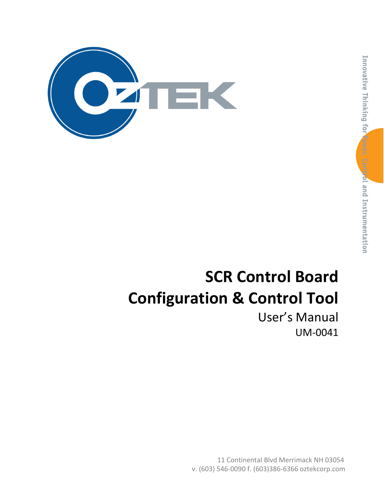

# Innovative Thinking for Power, Control and Instrumentation

# **SCR Control Board Configuration & Control Tool**

User's Manual UM-0041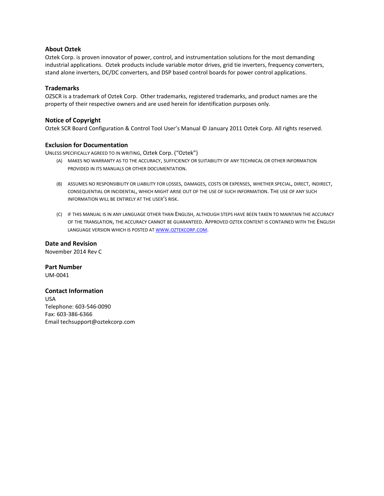#### **About Oztek**

Oztek Corp. is proven innovator of power, control, and instrumentation solutions for the most demanding industrial applications. Oztek products include variable motor drives, grid tie inverters, frequency converters, stand alone inverters, DC/DC converters, and DSP based control boards for power control applications.

#### **Trademarks**

OZSCR is a trademark of Oztek Corp. Other trademarks, registered trademarks, and product names are the property of their respective owners and are used herein for identification purposes only.

#### **Notice of Copyright**

Oztek SCR Board Configuration & Control Tool User's Manual © January 2011 Oztek Corp. All rights reserved.

#### **Exclusion for Documentation**

UNLESS SPECIFICALLY AGREED TO IN WRITING, Oztek Corp. ("Oztek")

- (A) MAKES NO WARRANTY AS TO THE ACCURACY, SUFFICIENCY OR SUITABILITY OF ANY TECHNICAL OR OTHER INFORMATION PROVIDED IN ITS MANUALS OR OTHER DOCUMENTATION.
- (B) ASSUMES NO RESPONSIBILITY OR LIABILITY FOR LOSSES, DAMAGES, COSTS OR EXPENSES, WHETHER SPECIAL, DIRECT, INDIRECT, CONSEQUENTIAL OR INCIDENTAL, WHICH MIGHT ARISE OUT OF THE USE OF SUCH INFORMATION. THE USE OF ANY SUCH INFORMATION WILL BE ENTIRELY AT THE USER'S RISK.
- (C) IF THIS MANUAL IS IN ANY LANGUAGE OTHER THAN ENGLISH, ALTHOUGH STEPS HAVE BEEN TAKEN TO MAINTAIN THE ACCURACY OF THE TRANSLATION, THE ACCURACY CANNOT BE GUARANTEED. APPROVED OZTEK CONTENT IS CONTAINED WITH THE ENGLISH LANGUAGE VERSION WHICH IS POSTED AT WWW.[OZTEKCORP](http://www.oztekcorp.com/).COM.

**Date and Revision** November 2014 Rev C

**Part Number** UM-0041

#### **Contact Information**

USA Telephone: 603-546-0090 Fax: 603-386-6366 Email techsupport@oztekcorp.com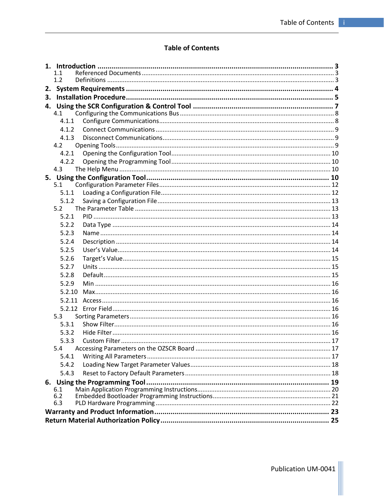#### **Table of Contents**

|    | 1.1          |  |
|----|--------------|--|
|    | 1.2          |  |
| 2. |              |  |
| 3. |              |  |
|    |              |  |
|    | 4.1          |  |
|    | 4.1.1        |  |
|    | 4.1.2        |  |
|    | 4.1.3<br>4.2 |  |
|    | 4.2.1        |  |
|    | 4.2.2        |  |
|    | 4.3          |  |
|    |              |  |
|    | 5.1          |  |
|    | 5.1.1        |  |
|    | 5.1.2        |  |
|    | 5.2          |  |
|    | 5.2.1        |  |
|    | 5.2.2        |  |
|    | 5.2.3        |  |
|    | 5.2.4        |  |
|    | 5.2.5        |  |
|    | 5.2.6        |  |
|    | 5.2.7        |  |
|    | 5.2.8        |  |
|    | 5.2.9        |  |
|    | 5.2.10       |  |
|    | 5.2.11       |  |
|    |              |  |
|    | 5.3          |  |
|    | 5.3.1        |  |
|    | 5.3.2        |  |
|    | 5.3.3        |  |
|    | 5.4          |  |
|    | 5.4.1        |  |
|    | 5.4.2        |  |
|    | 5.4.3        |  |
|    | 6.1          |  |
|    | 6.2          |  |
|    | 6.3          |  |
|    |              |  |
|    |              |  |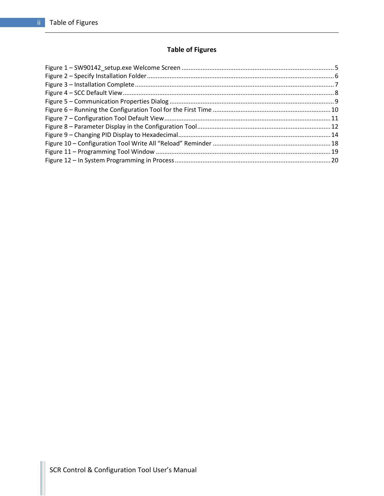# **Table of Figures**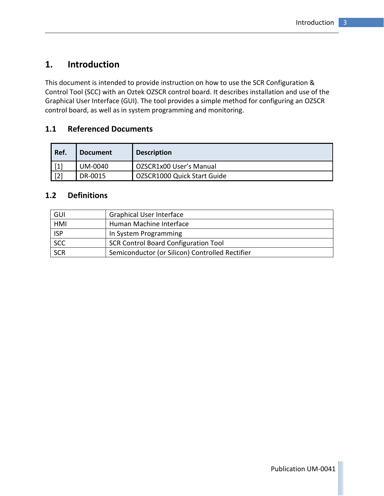# <span id="page-4-0"></span>**1. Introduction**

This document is intended to provide instruction on how to use the SCR Configuration & Control Tool (SCC) with an Oztek OZSCR control board. It describes installation and use of the Graphical User Interface (GUI). The tool provides a simple method for configuring an OZSCR control board, as well as in system programming and monitoring.

### <span id="page-4-1"></span>**1.1 Referenced Documents**

| Ref.  | <b>Document</b> | <b>Description</b>          |
|-------|-----------------|-----------------------------|
| $[1]$ | UM-0040         | OZSCR1x00 User's Manual     |
| $[2]$ | DR-0015         | OZSCR1000 Quick Start Guide |

#### <span id="page-4-2"></span>**1.2 Definitions**

| GUI        | <b>Graphical User Interface</b>                 |
|------------|-------------------------------------------------|
| HMI        | Human Machine Interface                         |
| <b>ISP</b> | In System Programming                           |
| <b>SCC</b> | <b>SCR Control Board Configuration Tool</b>     |
| <b>SCR</b> | Semiconductor (or Silicon) Controlled Rectifier |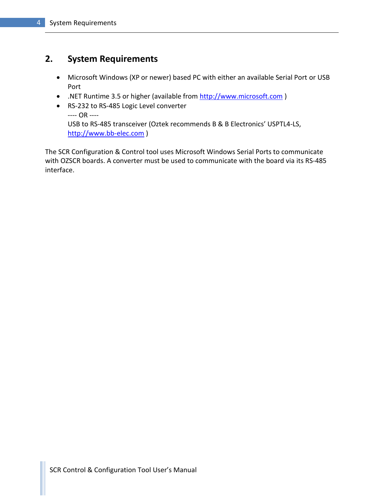# <span id="page-5-0"></span>**2. System Requirements**

- Microsoft Windows (XP or newer) based PC with either an available Serial Port or USB Port
- .NET Runtime 3.5 or higher (available from [http://www.microsoft.com](http://www.microsoft.com/))
- RS-232 to RS-485 Logic Level converter ---- OR ---- USB to RS-485 transceiver (Oztek recommends B & B Electronics' USPTL4-LS, [http://www.bb-elec.com](http://www.bb-elec.com/) )

The SCR Configuration & Control tool uses Microsoft Windows Serial Ports to communicate with OZSCR boards. A converter must be used to communicate with the board via its RS-485 interface.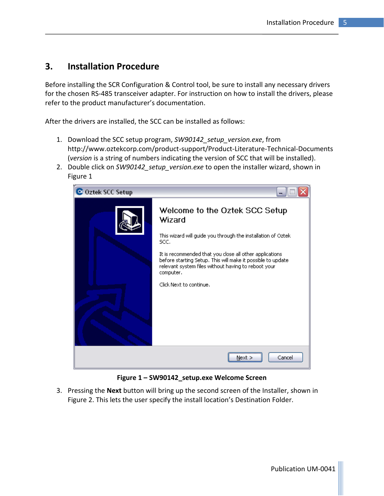# <span id="page-6-0"></span>**3. Installation Procedure**

Before installing the SCR Configuration & Control tool, be sure to install any necessary drivers for the chosen RS-485 transceiver adapter. For instruction on how to install the drivers, please refer to the product manufacturer's documentation.

After the drivers are installed, the SCC can be installed as follows:

- 1. Download the SCC setup program, *SW90142\_setup\_version.exe*, from http://www.oztekcorp.com/product-support/Product-Literature-Technical-Documents (*version* is a string of numbers indicating the version of SCC that will be installed).
- 2. Double click on *SW90142\_setup\_version.exe* to open the installer wizard, shown in [Figure 1](#page-6-1)



**Figure 1 – SW90142\_setup.exe Welcome Screen**

<span id="page-6-1"></span>3. Pressing the **Next** button will bring up the second screen of the Installer, shown in [Figure 2](#page-7-0). This lets the user specify the install location's Destination Folder.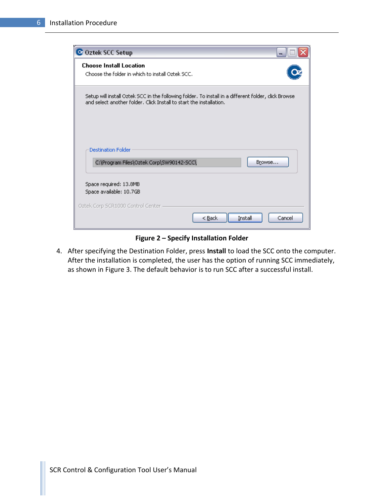| C Oztek SCC Setup                                                                                                                                                           |        |
|-----------------------------------------------------------------------------------------------------------------------------------------------------------------------------|--------|
| <b>Choose Install Location</b><br>Choose the folder in which to install Oztek SCC.                                                                                          |        |
| Setup will install Oztek SCC in the following folder. To install in a different folder, click Browse<br>and select another folder. Click Install to start the installation. |        |
| <b>Destination Folder</b><br>C:\Program Files\Oztek Corp\SW90142-SCC\<br>Browse                                                                                             |        |
| Space required: 13.8MB<br>Space available: 10.7GB                                                                                                                           |        |
| Oztek Corp SCR1000 Control Center<br>$<$ Back<br>Install                                                                                                                    | Cancel |

**Figure 2 – Specify Installation Folder**

<span id="page-7-0"></span>4. After specifying the Destination Folder, press **Install** to load the SCC onto the computer. After the installation is completed, the user has the option of running SCC immediately, as shown in [Figure 3.](#page-8-1) The default behavior is to run SCC after a successful install.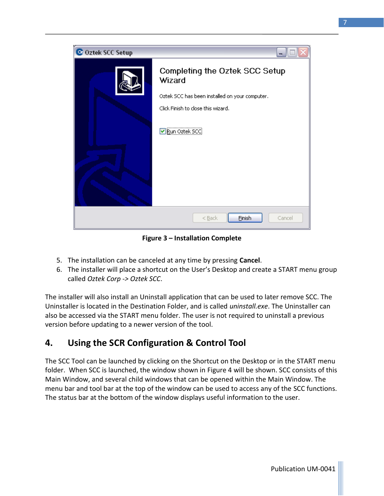

**Figure 3 – Installation Complete**

- <span id="page-8-1"></span>5. The installation can be canceled at any time by pressing **Cancel**.
- 6. The installer will place a shortcut on the User's Desktop and create a START menu group called *Oztek Corp -> Oztek SCC*.

The installer will also install an Uninstall application that can be used to later remove SCC. The Uninstaller is located in the Destination Folder, and is called *uninstall.exe*. The Uninstaller can also be accessed via the START menu folder. The user is not required to uninstall a previous version before updating to a newer version of the tool.

# <span id="page-8-0"></span>**4. Using the SCR Configuration & Control Tool**

The SCC Tool can be launched by clicking on the Shortcut on the Desktop or in the START menu folder. When SCC is launched, the window shown in [Figure 4](#page-9-2) will be shown. SCC consists of this Main Window, and several child windows that can be opened within the Main Window. The menu bar and tool bar at the top of the window can be used to access any of the SCC functions. The status bar at the bottom of the window displays useful information to the user.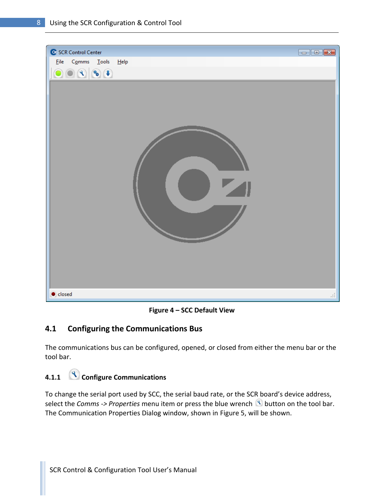

**Figure 4 – SCC Default View**

# <span id="page-9-2"></span><span id="page-9-0"></span>**4.1 Configuring the Communications Bus**

The communications bus can be configured, opened, or closed from either the menu bar or the tool bar.

# <span id="page-9-1"></span>**4.1.1 Configure Communications**

To change the serial port used by SCC, the serial baud rate, or the SCR board's device address, select the *Comms -> Properties* menu item or press the blue wrench **button** on the tool bar. The Communication Properties Dialog window, shown in [Figure 5,](#page-10-3) will be shown.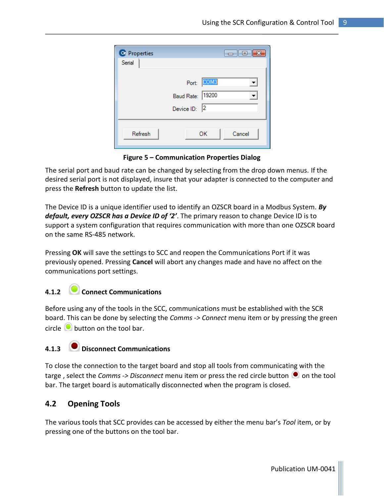| C Properties |                                                    | $ -$   |
|--------------|----------------------------------------------------|--------|
| Serial       |                                                    |        |
|              | Port: COM3<br>Baud Rate: 19200<br>Device $ D $ : 2 |        |
| Refresh      | OK                                                 | Cancel |

**Figure 5 – Communication Properties Dialog**

<span id="page-10-3"></span>The serial port and baud rate can be changed by selecting from the drop down menus. If the desired serial port is not displayed, insure that your adapter is connected to the computer and press the **Refresh** button to update the list.

The Device ID is a unique identifier used to identify an OZSCR board in a Modbus System. *By default, every OZSCR has a Device ID of '2'*. The primary reason to change Device ID is to support a system configuration that requires communication with more than one OZSCR board on the same RS-485 network.

Pressing **OK** will save the settings to SCC and reopen the Communications Port if it was previously opened. Pressing **Cancel** will abort any changes made and have no affect on the communications port settings.

#### <span id="page-10-0"></span>**4.1.2 Connect Communications**

Before using any of the tools in the SCC, communications must be established with the SCR board. This can be done by selecting the *Comms -> Connect* menu item or by pressing the green circle  $\bullet$  button on the tool bar.

# <span id="page-10-1"></span>**4.1.3 Disconnect Communications**

To close the connection to the target board and stop all tools from communicating with the targe, select the *Comms -> Disconnect* menu item or press the red circle button  $\bullet$  on the tool bar. The target board is automatically disconnected when the program is closed.

#### <span id="page-10-2"></span>**4.2 Opening Tools**

The various tools that SCC provides can be accessed by either the menu bar's *Tool* item, or by pressing one of the buttons on the tool bar.

Publication UM-0041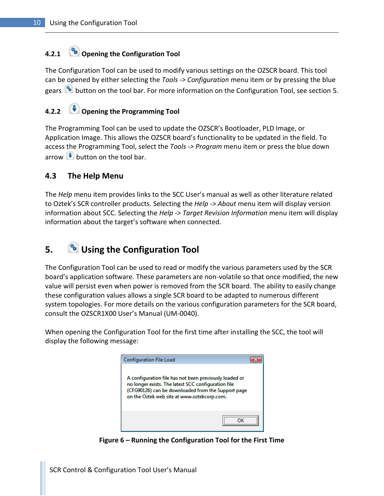# <span id="page-11-0"></span>**4.2.1 Opening the Configuration Tool**

The Configuration Tool can be used to modify various settings on the OZSCR board. This tool can be opened by either selecting the *Tools -> Configuration* menu item or by pressing the blue gears button on the tool bar. For more information on the Configuration Tool, see section [5.](#page-11-5)

#### <span id="page-11-1"></span>**4.2.2 Opening the Programming Tool**

The Programming Tool can be used to update the OZSCR's Bootloader, PLD Image, or Application Image. This allows the OZSCR board's functionality to be updated in the field. To access the Programming Tool, select the *Tools -> Program* menu item or press the blue down arrow  $\blacktriangleright$  button on the tool bar.

#### <span id="page-11-2"></span>**4.3 The Help Menu**

The *Help* menu item provides links to the SCC User's manual as well as other literature related to Oztek's SCR controller products. Selecting the *Help -> About* menu item will display version information about SCC. Selecting the *Help -> Target Revision Information* menu item will display information about the target's software when connected.

# <span id="page-11-5"></span><span id="page-11-3"></span>**5. Using the Configuration Tool**

The Configuration Tool can be used to read or modify the various parameters used by the SCR board's application software. These parameters are non-volatile so that once modified, the new value will persist even when power is removed from the SCR board. The ability to easily change these configuration values allows a single SCR board to be adapted to numerous different system topologies. For more details on the various configuration parameters for the SCR board, consult the OZSCR1X00 User's Manual (UM-0040).

When opening the Configuration Tool for the first time after installing the SCC, the tool will display the following message:

<span id="page-11-4"></span>

**Figure 6 – Running the Configuration Tool for the First Time**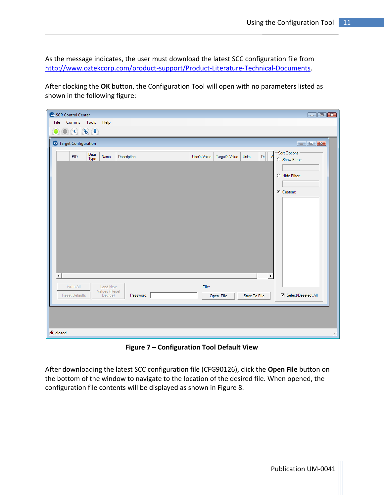As the message indicates, the user must download the latest SCC configuration file from [http://www.oztekcorp.com/product-support/Product-Literature-Technical-Documents.](http://www.oztekcorp.com/product-support/Product-Literature-Technical-Documents)

After clocking the **OK** button, the Configuration Tool will open with no parameters listed as shown in the following figure:



**Figure 7 – Configuration Tool Default View**

<span id="page-12-0"></span>After downloading the latest SCC configuration file (CFG90126), click the **Open File** button on the bottom of the window to navigate to the location of the desired file. When opened, the configuration file contents will be displayed as shown in [Figure 8.](#page-13-2)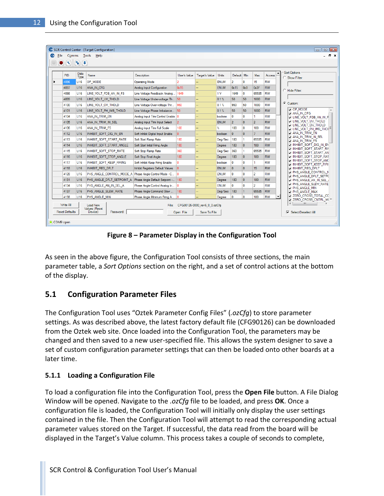| File | Comms<br>$\bullet$ (8) (8) (4)     |                 | Tools<br>Help                                            |                                      |                |                                              |              |                   |                 |                   |           | - 8                                                         |
|------|------------------------------------|-----------------|----------------------------------------------------------|--------------------------------------|----------------|----------------------------------------------|--------------|-------------------|-----------------|-------------------|-----------|-------------------------------------------------------------|
|      | <b>PID</b>                         | Data<br>Type    | Name                                                     | Description                          | User's Value   | <b>Target's Value</b>                        | <b>Units</b> | Default Min       |                 | Max               | Access    | <b>Sort Options</b><br>C Show Filter:                       |
|      | 1096                               | U <sub>16</sub> | OP MODE                                                  | <b>Operating Mode</b>                |                |                                              | <b>ENUM</b>  | $\overline{a}$    | $\mathbf{0}$    | 15                | RW        |                                                             |
|      | 4097                               | U <sub>16</sub> | ANA IN CFG                                               | Analog Input Configuration           | 0x15           |                                              | <b>ENUM</b>  | 0 <sub>x</sub> 15 | 0 <sub>x0</sub> | 0 <sub>x</sub> 3F | <b>RW</b> |                                                             |
|      | 4098                               | U <sub>16</sub> | LINE VOLT FDB AN IN FS                                   | Line Voltage Feedback Analog.        | 1649           | −−                                           | 1 V          | 1649              | $\bullet$       | 65535             | RW        | C Hide Filter:                                              |
|      | 4099                               | <b>U16</b>      | LINE_VOLT_UV_THOLD                                       | Line Voltage Under-voltage Th 50     |                |                                              | 0.1%         | 50                | 50              | 1000              | <b>RW</b> |                                                             |
|      | 4100                               | U <sub>16</sub> | LINE VOLT OV THOLD                                       | Line Voltage Over-voltage Thr        | 950            | ÷.                                           | 0.1%         | 950               | 50              | 1000              | RW        | C Custom:                                                   |
|      | 4101                               | U <sub>16</sub> | LINE VOLT PH IMB THOLD                                   | Line Voltage Phase Imbalance 50      |                |                                              | 0.1%         | 50                | 50              | 1000              | <b>RW</b> | <b>DOP MODE</b><br>$\blacktriangle$<br><b>DANA IN CFG</b>   |
|      | 4104                               | U16             | ANA IN TRIM EN                                           | Analog Input Trim Control Enable   0 |                |                                              | boolean      | $\mathbf{0}$      | $\mathbf{0}$    | 1.                | RW        | I LINE_VOLT_FDB_AN_IN_F                                     |
|      | 4105                               | U16             | ANA_IN_TRIM_IN_SEL                                       | Analog Input Trim Input Select       | 12             |                                              | <b>ENUM</b>  | $\overline{2}$    | $\mathbf{0}$    | $\overline{2}$    | <b>RW</b> | <b>THE VOLT UV THOLD</b><br><b>THOLD</b> LINE VOLT OV THOLD |
|      | 4106                               | U <sub>16</sub> | ANA IN TRIM FS                                           | Analog Input Trim Full Scale         | 100            |                                              | x            | 100               | $\mathbf{0}$    | 100               | RW        | UNE_VOLT_PH_IMB_THOI                                        |
|      | 4112                               | U16             | INHIBIT_SOFT_DIG_IN_EN                                   | Soft Inhibit Digital Input Enable    | $\overline{0}$ |                                              | boolean      | $\mathbf{0}$      | $\overline{0}$  | $\overline{7}$    | <b>RW</b> | <b>T ANA IN TRIM EN</b>                                     |
|      | 4113                               | U16             | INHIBIT_SOFT_START_RATE                                  | Soft Start Ramp Rate                 | 180            |                                              | Dea/Sec      | 180               | $\mathbf{1}$    | 65535             | <b>RW</b> | MANA IN TRIM IN SEL<br><b>THANA IN TRIM FS</b>              |
|      | 4114                               | U16             | INHIBIT SOFT START ANGLE                                 | Soft Start Inital Firing Angle       | 180            |                                              | Degree       | 180               | $\overline{0}$  | 180               | <b>RW</b> | <b>THINHIBIT SOFT DIG IN EN</b>                             |
|      | 4115                               | U <sub>16</sub> | <b>INHIBIT SOFT STOP RATE</b>                            | Soft Stop Ramp Rate                  | 360            |                                              | Dea/Sec      | 360               | 1               | 65535             | <b>RW</b> | <b>TINHIBIT SOFT START RA</b><br>NINHIBIT_SOFT_START_AN     |
|      | 4116                               | U16             | INHIBIT SOFT STOP ANGLE                                  | Soft Stop Final Angle                | 180            |                                              | Degree       | 180               | $\mathbf{0}$    | 180               | <b>RW</b> | <b>THINHIBIT SOFT STOP RAT</b>                              |
|      | 4117                               | <b>U16</b>      | INHIBIT SOFT KEEP FIRING                                 | Soft Inhibit Keep Firing Enable      | ١o             |                                              | boolean      | $\mathbf{0}$      | $\overline{0}$  | 1.                | RW        | <b>THINHIBIT SOFT STOP AND</b><br>NINHIBIT SOFT KEEP FIRI   |
|      | 4118                               | U16             | INHIBIT REG DFLT                                         | Inhibit Registers Default Values     | 10             |                                              | <b>ENUM</b>  | $\mathbf{0}$      | $\mathbf{0}$    | 15                | <b>RW</b> | <b>TINHIBIT REG DFLT</b>                                    |
|      | 4128                               | U16             | PHS_ANGLE_CONTROL_MODE_A   Phase Angle Control Mode - C  |                                      | 10             |                                              | <b>ENUM</b>  | $\mathbf{0}$      | $\overline{0}$  | $\overline{2}$    | <b>RW</b> | <b>THIS ANGLE CONTROL N</b><br><b>PHS ANGLE DFLT SETP(</b>  |
|      | 4131                               | U16             | PHS_ANGLE_DFLT_SETPOINT_A                                | Phase Angle Default Setpoint - 180   |                |                                              | Degree       | 180               | $\overline{0}$  | 180               | <b>RW</b> | $\Box$ PHS ANGLE AN IN SEL $\prime$                         |
|      | 4134                               | U <sub>16</sub> | PHS_ANGLE_AN_IN_SEL_A                                    | Phase Angle Control Analog In 0      |                |                                              | <b>ENUM</b>  | $\overline{0}$    | $\overline{0}$  | $\overline{2}$    | RW        | <b>THIS ANGLE SLEW RATE</b><br><b>THIS ANGLE MIN</b>        |
|      | 4137                               | U <sub>16</sub> | PHS ANGLE SLEW RATE                                      | Phase Angle Command Slew             | 180            |                                              | Deg/Sec      | 180               | $\blacksquare$  | 65535             | <b>RW</b> | <b>T PHS ANGLE MAX</b>                                      |
|      | 4138                               | U16             | PHS_ANGLE_MIN                                            | Phase Angle Minimum Firing A         | $\overline{0}$ |                                              | Degree       | $\mathbf{0}$      | $\bullet$       | 180               | <b>RW</b> | <b>T ZERO CROSS TOTAL CO</b><br>ZERO CROSS CNTRL M( *       |
|      | Write All<br><b>Reset Defaults</b> |                 | <b>Load New</b><br>Values (Reset<br>Device)<br>Password: | File:                                | Open File      | CFG90126-0000 rev6 0 0.ozCfg<br>Save To File |              |                   |                 |                   |           | $\mathbf{m}$<br><b>▽</b> Select/Deselect All                |

**Figure 8 – Parameter Display in the Configuration Tool**

<span id="page-13-2"></span>As seen in the above figure, the Configuration Tool consists of three sections, the main parameter table, a *Sort Options* section on the right, and a set of control actions at the bottom of the display.

## <span id="page-13-0"></span>**5.1 Configuration Parameter Files**

The Configuration Tool uses "Oztek Parameter Config Files" (*.ozCfg*) to store parameter settings. As was described above, the latest factory default file (CFG90126) can be downloaded from the Oztek web site. Once loaded into the Configuration Tool, the parameters may be changed and then saved to a new user-specified file. This allows the system designer to save a set of custom configuration parameter settings that can then be loaded onto other boards at a later time.

#### <span id="page-13-1"></span>**5.1.1 Loading a Configuration File**

To load a configuration file into the Configuration Tool, press the **Open File** button. A File Dialog Window will be opened. Navigate to the *.ozCfg* file to be loaded, and press **OK**. Once a configuration file is loaded, the Configuration Tool will initially only display the user settings contained in the file. Then the Configuration Tool will attempt to read the corresponding actual parameter values stored on the Target. If successful, the data read from the board will be displayed in the Target's Value column. This process takes a couple of seconds to complete,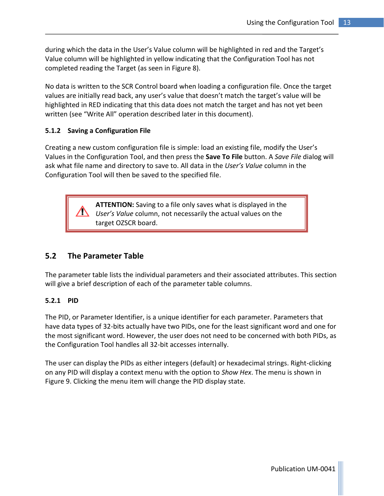during which the data in the User's Value column will be highlighted in red and the Target's Value column will be highlighted in yellow indicating that the Configuration Tool has not completed reading the Target (as seen in [Figure 8\)](#page-13-2).

No data is written to the SCR Control board when loading a configuration file. Once the target values are initially read back, any user's value that doesn't match the target's value will be highlighted in RED indicating that this data does not match the target and has not yet been written (see "Write All" operation described later in this document).

#### <span id="page-14-0"></span>**5.1.2 Saving a Configuration File**

Creating a new custom configuration file is simple: load an existing file, modify the User's Values in the Configuration Tool, and then press the **Save To File** button. A *Save File* dialog will ask what file name and directory to save to. All data in the *User's Value* column in the Configuration Tool will then be saved to the specified file.

> **ATTENTION:** Saving to a file only saves what is displayed in the *User's Value* column, not necessarily the actual values on the target OZSCR board.

#### <span id="page-14-1"></span>**5.2 The Parameter Table**

The parameter table lists the individual parameters and their associated attributes. This section will give a brief description of each of the parameter table columns.

#### <span id="page-14-2"></span>**5.2.1 PID**

The PID, or Parameter Identifier, is a unique identifier for each parameter. Parameters that have data types of 32-bits actually have two PIDs, one for the least significant word and one for the most significant word. However, the user does not need to be concerned with both PIDs, as the Configuration Tool handles all 32-bit accesses internally.

The user can display the PIDs as either integers (default) or hexadecimal strings. Right-clicking on any PID will display a context menu with the option to *Show Hex*. The menu is shown in [Figure 9.](#page-15-4) Clicking the menu item will change the PID display state.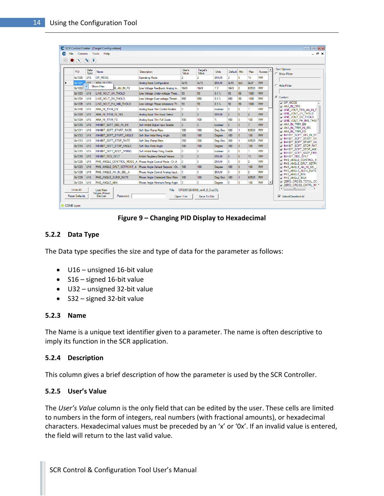| <b>PID</b> | Data<br>Type    | <b>Name</b>                    | Description                             | User's<br>Value | Target's<br><b>Value</b> | Units          | Default.       | Min          | Max            | Access    | ▲ | Sort Options<br>C Show Filter                                   |
|------------|-----------------|--------------------------------|-----------------------------------------|-----------------|--------------------------|----------------|----------------|--------------|----------------|-----------|---|-----------------------------------------------------------------|
| 0x1000     | U <sub>16</sub> | OP MODE                        | <b>Operating Mode</b>                   | 2               | $\overline{2}$           | <b>ENUM</b>    | $\overline{a}$ | $\mathbf{0}$ | 15             | <b>RW</b> |   |                                                                 |
| 0x1001     | <b>LISS</b>     | ANA IN CEG.                    | Analog Input Configuration              | 0x15            | 0x15                     | <b>ENUM</b>    | 0x15           | 0x0          | 0x3F           | <b>RW</b> |   | C. Hide Filter:                                                 |
| 0x1002     | ×.              | Show Hex<br>B AN IN FS         | Line Voltage Feedback Analog In         | 1649            | 1649                     | 1 <sub>V</sub> | 1649           | $\mathbf 0$  | 65535          | <b>RW</b> |   |                                                                 |
| 0x1003     | U <sub>16</sub> | LINE_VOLT_UV_THOLD             | Line Voltage Under-voltage Thres 50     |                 | 50                       | 0.1%           | 50             | 50           | 1000           | <b>RW</b> |   |                                                                 |
| 0x1004     | U <sub>16</sub> | LINE VOLT OV THOLD             | Line Voltage Over-voltage Thresh        | 950             | 950                      | 0.1%           | 950            | 50           | 1000           | <b>RW</b> |   | C Custom:                                                       |
| 0x1005     | U16             | LINE VOLT PH IMB THOLD         | Line Voltage Phase Imbalance Th 50      |                 | 50                       | 0.1%           | 50             | 50           | 1000           | <b>RW</b> |   | <b>DOP MODE</b><br><b>DANA IN CFG</b>                           |
| 0x1008     | <b>U16</b>      | ANA IN TRIM EN                 | Analog Input Trim Control Enable        | $\mathbf{0}$    | $\mathbf{0}$             | boolean        | $\mathbf{0}$   | $\bf{0}$     | 1.             | <b>RW</b> |   | $\Box$ line volt fdb an in F                                    |
| 0x1009     | 1116            | ANA IN TRIM IN SEL             | Analog Input Trim Input Select          | $\overline{2}$  | $\overline{2}$           | <b>ENUM</b>    | $\overline{2}$ | $\mathbf{0}$ | $\overline{2}$ | <b>RW</b> |   | <b>THE VOLT UV THOLD</b><br><b>THE VOLT OV THOLD</b>            |
| 0x100A     | U <sub>16</sub> | ANA IN TRIM FS                 | Analog Input Trim Full Scale            | 100             | 100                      | x              | 100            | $\mathbf{0}$ | 100            | <b>RW</b> |   | U LINE_VOLT_PH_IMB_THOI                                         |
| 0x1010     | U16             | INHIBIT SOFT DIG IN EN         | Soft Inhibit Digital Input Enable       | $\mathbf{0}$    | $\mathbf{0}$             | boolean        | $\mathbf{0}$   | $\mathbf{0}$ | $\overline{7}$ | <b>RW</b> |   | ANA IN TRIM EN<br><b>THANA IN TRIM IN SEL</b>                   |
| 0x1011     | 1116            | <b>INHIBIT SOFT START RATE</b> | Soft Start Ramo Rate                    | 180             | 180                      | Deg/Sec        | 180            | 1.           | 65535          | <b>RW</b> |   | <b>NANA IN TRIM FS</b>                                          |
| 0x1012     | <b>U16</b>      | INHIBIT_SOFT_START_ANGLE       | Soft Start Inital Firing Angle          | 180             | 180                      | Degree         | 180            | $\mathbf{0}$ | 180            | <b>RW</b> |   | NINHIBIT_SOFT_DIG_IN_EN                                         |
| 0x1013     | 1116            | INHIBIT SOFT STOP RATE         | Soft Stop Ramp Rate                     | 360             | 360                      | Deg/Sec        | 360            | 1.           | 65535          | <b>RW</b> |   | <b>TINHIBIT SOFT START RA</b><br><b>NUMBER SOFT START AN</b>    |
| 0x1014     | U16             | INHIBIT SOFT STOP ANGLE        | Soft Stop Final Angle                   | 180             | 180                      | Degree         | 180            | $\mathbf{0}$ | 180            | <b>RW</b> |   | <b>TINHIBIT SOFT STOP RAT</b>                                   |
| 0x1015     | <b>U16</b>      | INHIBIT SOFT KEEP FIRING       | Soft Inhibit Keep Firing Enable         | $\mathbf{0}$    | $\mathbf{0}$             | boolean        | $\mathbf{0}$   | $\mathbf{0}$ | 1              | <b>RW</b> |   | <b>NINHIBIT_SOFT_STOP_ANC</b><br><b>NINHIBIT SOFT KEEP FIRI</b> |
| 0x1016     | 1116            | <b>INHIBIT REG DFLT</b>        | <b>Inhibit Registers Default Values</b> | $\mathbf{0}$    | $\mathbf{0}$             | <b>ENUM</b>    | $\mathbf{0}$   | $\mathbf{0}$ | 15             | <b>RW</b> |   | <b>NINHIBIT_REG_DFLT</b>                                        |
| 0x1020     | <b>U16</b>      | PHS ANGLE CONTROL MODE A       | Phase Angle Control Mode - Ch A         | $\mathbf{0}$    | $\mathbf 0$              | <b>ENUM</b>    | $\bf{0}$       | $\bf{0}$     | $\overline{2}$ | <b>RW</b> |   | <b>THE ANGLE CONTROL M</b><br>PHS_ANGLE_DFLT_SETP(              |
| 0x1023     | U16             | PHS ANGLE DFLT SETPOINT A      | Phase Angle Default Setpoint - Ch   180 |                 | 180                      | Degree         | 180            | $\mathbf{0}$ | 180            | <b>RW</b> |   | $\Box$ PHS angle an in Sel $\prime$                             |
| 0x1026     | U <sub>16</sub> | PHS_ANGLE_AN_IN_SEL_A          | Phase Angle Control Analog Input        | 10              | 0                        | <b>ENUM</b>    | 0              | n            | $\overline{2}$ | <b>RW</b> |   | <b>THIS ANGLE SLEW RATE</b><br><b>THIS ANGLE MIN</b>            |
| 0x1029     | <b>U16</b>      | PHS_ANGLE_SLEW_RATE            | Phase Angle Command Slew Rate           | 180             | 180                      | Dea/Sec        | 180            | $\mathbf{1}$ | 65535          | <b>RW</b> |   | <b>PHS ANGLE MAX</b>                                            |
| 0x102A     | U16             | PHS ANGLE MIN                  | Phase Angle Minimum Firing Angle        | 10              | o                        | Degree         | 0              | $\mathbf 0$  | 180            | <b>RW</b> | ▼ | <b>TT ZERO CROSS TOTAL CC</b><br>7 ZERO CROSS CNTRL M( *        |

**Figure 9 – Changing PID Display to Hexadecimal**

#### <span id="page-15-4"></span><span id="page-15-0"></span>**5.2.2 Data Type**

The Data type specifies the size and type of data for the parameter as follows:

- U16 unsigned 16-bit value
- $\bullet$  S16 signed 16-bit value
- U32 unsigned 32-bit value
- S32 signed 32-bit value

#### <span id="page-15-1"></span>**5.2.3 Name**

The Name is a unique text identifier given to a parameter. The name is often descriptive to imply its function in the SCR application.

#### <span id="page-15-2"></span>**5.2.4 Description**

<span id="page-15-3"></span>This column gives a brief description of how the parameter is used by the SCR Controller.

#### **5.2.5 User's Value**

The *User's Value* column is the only field that can be edited by the user. These cells are limited to numbers in the form of integers, real numbers (with fractional amounts), or hexadecimal characters. Hexadecimal values must be preceded by an 'x' or '0x'. If an invalid value is entered, the field will return to the last valid value.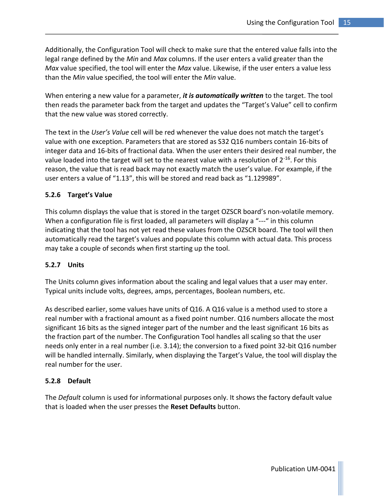Additionally, the Configuration Tool will check to make sure that the entered value falls into the legal range defined by the *Min* and *Max* columns. If the user enters a valid greater than the *Max* value specified, the tool will enter the *Max* value. Likewise, if the user enters a value less than the *Min* value specified, the tool will enter the *Min* value.

When entering a new value for a parameter, *it is automatically written* to the target. The tool then reads the parameter back from the target and updates the "Target's Value" cell to confirm that the new value was stored correctly.

The text in the *User's Value* cell will be red whenever the value does not match the target's value with one exception. Parameters that are stored as S32 Q16 numbers contain 16-bits of integer data and 16-bits of fractional data. When the user enters their desired real number, the value loaded into the target will set to the nearest value with a resolution of  $2^{-16}$ . For this reason, the value that is read back may not exactly match the user's value. For example, if the user enters a value of "1.13", this will be stored and read back as "1.129989".

#### <span id="page-16-0"></span>**5.2.6 Target's Value**

This column displays the value that is stored in the target OZSCR board's non-volatile memory. When a configuration file is first loaded, all parameters will display a "---" in this column indicating that the tool has not yet read these values from the OZSCR board. The tool will then automatically read the target's values and populate this column with actual data. This process may take a couple of seconds when first starting up the tool.

#### <span id="page-16-1"></span>**5.2.7 Units**

The Units column gives information about the scaling and legal values that a user may enter. Typical units include volts, degrees, amps, percentages, Boolean numbers, etc.

As described earlier, some values have units of Q16. A Q16 value is a method used to store a real number with a fractional amount as a fixed point number. Q16 numbers allocate the most significant 16 bits as the signed integer part of the number and the least significant 16 bits as the fraction part of the number. The Configuration Tool handles all scaling so that the user needs only enter in a real number (i.e. 3.14); the conversion to a fixed point 32-bit Q16 number will be handled internally. Similarly, when displaying the Target's Value, the tool will display the real number for the user.

#### <span id="page-16-2"></span>**5.2.8 Default**

The *Default* column is used for informational purposes only. It shows the factory default value that is loaded when the user presses the **Reset Defaults** button.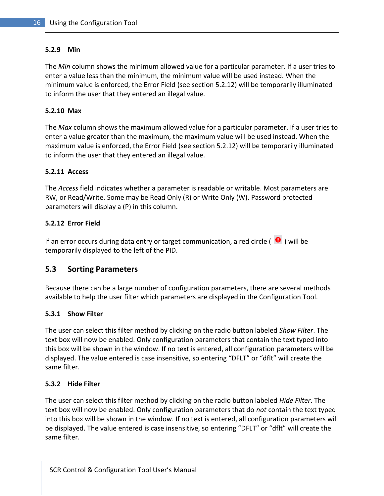#### <span id="page-17-0"></span>**5.2.9 Min**

The *Min* column shows the minimum allowed value for a particular parameter. If a user tries to enter a value less than the minimum, the minimum value will be used instead. When the minimum value is enforced, the Error Field (see sectio[n 5.2.12\)](#page-17-3) will be temporarily illuminated to inform the user that they entered an illegal value.

#### <span id="page-17-1"></span>**5.2.10 Max**

The *Max* column shows the maximum allowed value for a particular parameter. If a user tries to enter a value greater than the maximum, the maximum value will be used instead. When the maximum value is enforced, the Error Field (see section [5.2.12\)](#page-17-3) will be temporarily illuminated to inform the user that they entered an illegal value.

#### <span id="page-17-2"></span>**5.2.11 Access**

The *Access* field indicates whether a parameter is readable or writable. Most parameters are RW, or Read/Write. Some may be Read Only (R) or Write Only (W). Password protected parameters will display a (P) in this column.

#### <span id="page-17-3"></span>**5.2.12 Error Field**

If an error occurs during data entry or target communication, a red circle ( $\bigcirc$ ) will be temporarily displayed to the left of the PID.

#### <span id="page-17-4"></span>**5.3 Sorting Parameters**

Because there can be a large number of configuration parameters, there are several methods available to help the user filter which parameters are displayed in the Configuration Tool.

#### <span id="page-17-5"></span>**5.3.1 Show Filter**

The user can select this filter method by clicking on the radio button labeled *Show Filter*. The text box will now be enabled. Only configuration parameters that contain the text typed into this box will be shown in the window. If no text is entered, all configuration parameters will be displayed. The value entered is case insensitive, so entering "DFLT" or "dflt" will create the same filter.

#### <span id="page-17-6"></span>**5.3.2 Hide Filter**

The user can select this filter method by clicking on the radio button labeled *Hide Filter*. The text box will now be enabled. Only configuration parameters that do *not* contain the text typed into this box will be shown in the window. If no text is entered, all configuration parameters will be displayed. The value entered is case insensitive, so entering "DFLT" or "dflt" will create the same filter.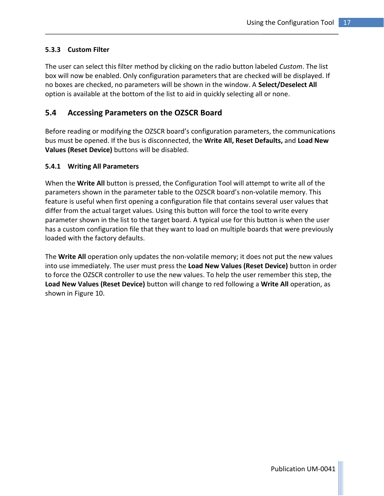#### <span id="page-18-0"></span>**5.3.3 Custom Filter**

The user can select this filter method by clicking on the radio button labeled *Custom*. The list box will now be enabled. Only configuration parameters that are checked will be displayed. If no boxes are checked, no parameters will be shown in the window. A **Select/Deselect All** option is available at the bottom of the list to aid in quickly selecting all or none.

#### <span id="page-18-1"></span>**5.4 Accessing Parameters on the OZSCR Board**

Before reading or modifying the OZSCR board's configuration parameters, the communications bus must be opened. If the bus is disconnected, the **Write All, Reset Defaults,** and **Load New Values (Reset Device)** buttons will be disabled.

#### <span id="page-18-2"></span>**5.4.1 Writing All Parameters**

When the **Write All** button is pressed, the Configuration Tool will attempt to write all of the parameters shown in the parameter table to the OZSCR board's non-volatile memory. This feature is useful when first opening a configuration file that contains several user values that differ from the actual target values. Using this button will force the tool to write every parameter shown in the list to the target board. A typical use for this button is when the user has a custom configuration file that they want to load on multiple boards that were previously loaded with the factory defaults.

The **Write All** operation only updates the non-volatile memory; it does not put the new values into use immediately. The user must press the **Load New Values (Reset Device)** button in order to force the OZSCR controller to use the new values. To help the user remember this step, the **Load New Values (Reset Device)** button will change to red following a **Write All** operation, as shown i[n Figure 10.](#page-19-2)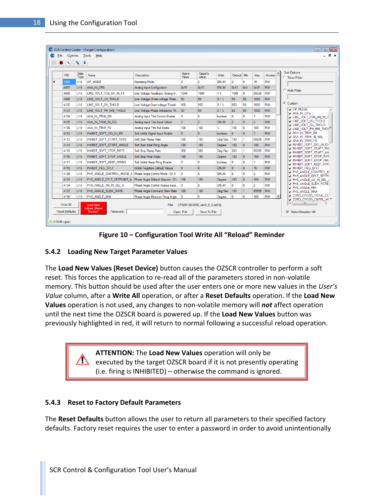|      | PID  | Data<br>Type    | Name                      | Description                             | User's<br>Value | Target's<br>Value       | <b>Units</b>   | Default Min    |                 | Max              | Access    | $\blacktriangle$ | <b>Sort Options</b><br>C Show Filter:                                       |
|------|------|-----------------|---------------------------|-----------------------------------------|-----------------|-------------------------|----------------|----------------|-----------------|------------------|-----------|------------------|-----------------------------------------------------------------------------|
|      | 4096 | <b>U16</b>      | OP MODE                   | <b>Operating Mode</b>                   | $\overline{2}$  | $\overline{2}$          | <b>ENUM</b>    | $\overline{2}$ | $\mathbf{0}$    | 15               | RW        |                  |                                                                             |
|      | 4097 | U16             | ANA IN CFG                | Analog Input Configuration              | 0x15            | 0x15                    | <b>ENUM</b>    | 0x15           | 0 <sub>x0</sub> | 0x3F             | <b>RW</b> |                  |                                                                             |
|      | 4098 | 1116            | LINE VOLT FDB AN IN FS    | Line Voltage Feedback Analog In         | 1649            | 1649                    | 1 <sub>V</sub> | 1649           | 0               | 65535            | <b>RW</b> |                  | C Hide Filter:                                                              |
|      | 4099 | U16             | LINE VOLT UV THOLD        | Line Voltage Under-voltage Thres 50     |                 | 50                      | 0.1%           | 50             | 50              | 1000             | <b>RW</b> |                  |                                                                             |
|      | 4100 | 1116            | LINE VOLT OV THOLD        | Line Voltage Over-voltage Thresh        | 950             | 950                     | 0.1%           | 950            | 50              | 1000             | <b>RW</b> |                  | Custom:                                                                     |
| 4101 |      | <b>U16</b>      | LINE VOLT PH IMB THOLD    | Line Voltage Phase Imbalance Th 50      |                 | 50                      | 0.1%           | 50             | 50              | 1000             | <b>RW</b> |                  | OP MODE<br>ANA IN CFG                                                       |
| 4104 |      | U <sub>16</sub> | ANA IN TRIM EN            | Analog Input Trim Control Enable        | $\mathbf{0}$    | $\mathbf{0}$            | boolean        | $\mathbf{0}$   | $\mathbf{0}$    | 1.               | <b>RW</b> |                  | I LINE_VOLT_FDB_AN_IN_F                                                     |
|      | 4105 | <b>U16</b>      | ANA IN TRIM IN SEL        | Analog Input Trim Input Select          | $\overline{2}$  | $\overline{2}$          | <b>ENUM</b>    | $\overline{2}$ | $\mathbf{0}$    | $\overline{2}$   | <b>RW</b> |                  | <b>THINE VOLT UV THOLD</b><br><b>THOLD</b> LINE VOLT OV THOLD               |
|      | 4106 | U <sub>16</sub> | ana in trim FS            | Analog Input Trim Full Scale            | 100             | 100                     | Y.             | 100            | $\overline{0}$  | 100              | <b>RW</b> |                  | U LINE_VOLT_PH_IMB_THOI <sup>E</sup>                                        |
|      | 4112 | U16             | INHIBIT SOFT DIG IN EN    | Soft Inhibit Digital Input Enable       | $\mathbf{0}$    | $\mathbf{0}$            | boolean        | $\mathbf{0}$   | $\mathbf{0}$    | $\overline{7}$   | <b>RW</b> |                  | ri ana in trim en<br><b>T ANA IN TRIM IN SEL</b>                            |
|      | 4113 | U16             | INHIBIT SOFT START RATE   | Soft Start Ramp Rate                    | 180             | 180                     | Deg/Sec        | 180            | 1               | 65535            | <b>RW</b> |                  | $\neg$ ana in trim FS                                                       |
|      | 4114 | <b>U16</b>      | INHIBIT SOFT START ANGLE  | Soft Start Inital Firing Angle          | 180             | 180                     | Degree         | 180            | $\mathbf{0}$    | 180              | <b>RW</b> |                  | <b>THINHIBIT SOFT DIG IN EN</b>                                             |
|      | 4115 | U16             | INHIBIT SOFT STOP RATE    | Soft Stop Ramp Rate                     | 360             | 360                     | Dea/Sec        | 360            | 1               | 65535            | <b>RW</b> |                  | <b>THINHIBIT SOFT START RA</b><br>NINHIBIT_SOFT_START_AN                    |
|      | 4116 | <b>U16</b>      | INHIBIT SOFT STOP ANGLE   | Soft Stop Final Angle                   | 180             | 180                     | Degree         | 180            | $\mathbf{0}$    | 180              | <b>RW</b> |                  | <b>THINHIBIT SOFT STOP RAT</b>                                              |
| 4117 |      | U <sub>16</sub> | INHIBIT SOFT KEEP FIRING  | Soft Inhibit Keep Firing Enable         | $\mathbf{0}$    | $\mathbf{0}$            | boolean        | 0              | $\mathbf{0}$    | 1                | <b>RW</b> |                  | <b>THINHIBIT SOFT STOP AND</b><br>INHIBIT SOFT KEEP FIRI                    |
|      | 4118 | U16             | INHIBIT REG DFLT          | Inhibit Registers Default Values        | $\overline{0}$  | $\overline{0}$          | <b>ENUM</b>    | $\overline{0}$ | $\overline{0}$  | 15 <sub>15</sub> | <b>RW</b> |                  | <b>Geimhibit reg delt</b>                                                   |
|      | 4128 | U16             | PHS_ANGLE_CONTROL_MODE_A  | Phase Angle Control Mode - Ch A         | l O             | $\mathbf{0}$            | <b>ENUM</b>    | $\mathbf{0}$   | $\mathbf{0}$    | $\overline{2}$   | <b>RW</b> |                  | <b>THE PHS ANGLE CONTROL M</b><br>PHS_ANGLE_DFLT_SETP(                      |
| 4131 |      | U16             | PHS ANGLE DFLT SETPOINT A | Phase Angle Default Setpoint - Ch   180 |                 | 180                     | Degree         | 180            | $\mathbf{0}$    | 180              | <b>RW</b> |                  | T PHS ANGLE AN IN SEL /                                                     |
| 4134 |      | <b>U16</b>      | PHS_ANGLE_AN_IN_SEL_A     | Phase Angle Control Analog Input        | $\overline{0}$  | $\mathbf{0}$            | <b>ENUM</b>    | $\mathbf{0}$   | $\mathbf{0}$    | $\overline{2}$   | <b>RW</b> |                  | <b>T PHS ANGLE SLEW RATE</b><br><b>DI PHS ANGLE MIN</b>                     |
|      | 4137 | U16             | PHS ANGLE SLEW RATE       | Phase Angle Command Slew Rate           | 180             | 180                     | Deg/Sec        | 180            | $\mathbf{1}$    | 65535            | <b>RW</b> |                  | <b>T PHS ANGLE MAX</b>                                                      |
|      | 4138 | U16             | PHS ANGLE MIN             | Phase Angle Minimum Firing Angle        | 0               | $\overline{\mathbf{0}}$ | Degree         | 0              | $\bf{0}$        | 180              | <b>RW</b> |                  | <b>ZERO CROSS TOTAL CC</b><br>$\sqrt{ }$ zero cross cntrl m( $\overline{ }$ |

**Figure 10 – Configuration Tool Write All "Reload" Reminder**

#### <span id="page-19-2"></span><span id="page-19-0"></span>**5.4.2 Loading New Target Parameter Values**

The **Load New Values (Reset Device)** button causes the OZSCR controller to perform a soft reset. This forces the application to re-read all of the parameters stored in non-volatile memory. This button should be used after the user enters one or more new values in the *User's Value* column, after a **Write All** operation, or after a **Reset Defaults** operation. If the **Load New Values** operation is not used, any changes to non-volatile memory will *not* affect operation until the next time the OZSCR board is powered up. If the **Load New Values** button was previously highlighted in red, it will return to normal following a successful reload operation.

> **ATTENTION:** The **Load New Values** operation will only be executed by the target OZSCR board if it is not presently operating (i.e. firing is INHIBITED) – otherwise the command is ignored.

#### <span id="page-19-1"></span>**5.4.3 Reset to Factory Default Parameters**

The **Reset Defaults** button allows the user to return all parameters to their specified factory defaults. Factory reset requires the user to enter a password in order to avoid unintentionally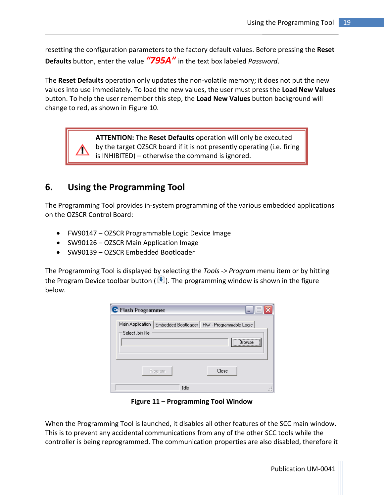resetting the configuration parameters to the factory default values. Before pressing the **Reset Defaults** button, enter the value *"795A"* in the text box labeled *Password*.

The **Reset Defaults** operation only updates the non-volatile memory; it does not put the new values into use immediately. To load the new values, the user must press the **Load New Values**  button. To help the user remember this step, the **Load New Values** button background will change to red, as shown in [Figure 10.](#page-19-2)

> **ATTENTION:** The **Reset Defaults** operation will only be executed by the target OZSCR board if it is not presently operating (i.e. firing is INHIBITED) – otherwise the command is ignored.

## <span id="page-20-0"></span>**6. Using the Programming Tool**

The Programming Tool provides in-system programming of the various embedded applications on the OZSCR Control Board:

- FW90147 OZSCR Programmable Logic Device Image
- SW90126 OZSCR Main Application Image
- SW90139 OZSCR Embedded Bootloader

The Programming Tool is displayed by selecting the *Tools -> Program* menu item or by hitting the Program Device toolbar button ( $\blacklozenge$ ). The programming window is shown in the figure below.

| C Flash Programmer                                          |                                                  |
|-------------------------------------------------------------|--------------------------------------------------|
| Main Application<br>Embedded Bootloader<br>Select .bin file | HW - Programmable Logic<br><br><b>Browse</b><br> |
| Program                                                     | Close                                            |
| Idle                                                        |                                                  |

**Figure 11 – Programming Tool Window**

<span id="page-20-1"></span>When the Programming Tool is launched, it disables all other features of the SCC main window. This is to prevent any accidental communications from any of the other SCC tools while the controller is being reprogrammed. The communication properties are also disabled, therefore it

Publication UM-0041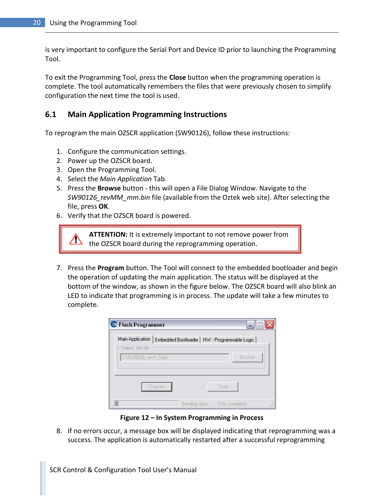is very important to configure the Serial Port and Device ID prior to launching the Programming Tool.

To exit the Programming Tool, press the **Close** button when the programming operation is complete. The tool automatically remembers the files that were previously chosen to simplify configuration the next time the tool is used.

#### <span id="page-21-0"></span>**6.1 Main Application Programming Instructions**

To reprogram the main OZSCR application (SW90126), follow these instructions:

- 1. Configure the communication settings.
- 2. Power up the OZSCR board.
- 3. Open the Programming Tool.
- 4. Select the *Main Application* Tab.
- 5. Press the **Browse** button this will open a File Dialog Window. Navigate to the *SW90126\_revMM\_mm.bin* file (available from the Oztek web site). After selecting the file, press **OK**.
- 6. Verify that the OZSCR board is powered.

**ATTENTION:** It is extremely important to not remove power from the OZSCR board during the reprogramming operation.

7. Press the **Program** button. The Tool will connect to the embedded bootloader and begin the operation of updating the main application. The status will be displayed at the bottom of the window, as shown in the figure below. The OZSCR board will also blink an LED to indicate that programming is in process. The update will take a few minutes to complete.

| C Flash Programmer                    | -                                             |
|---------------------------------------|-----------------------------------------------|
| Main Application<br>-Select .bin file | Embedded Bootloader   HW - Programmable Logic |
| C:\SW9026_rev1_0.bin                  | <b>Browse</b>                                 |
| Program                               | Close                                         |
|                                       | Sending data  (3% complete)                   |

**Figure 12 – In System Programming in Process**

<span id="page-21-1"></span>8. If no errors occur, a message box will be displayed indicating that reprogramming was a success. The application is automatically restarted after a successful reprogramming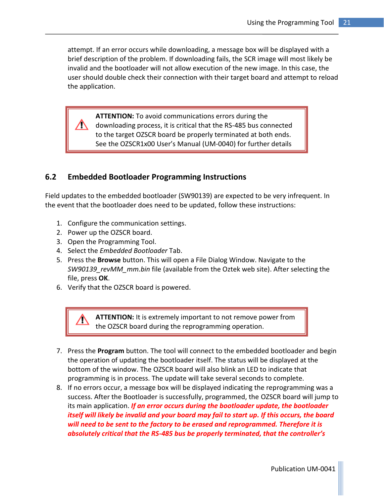attempt. If an error occurs while downloading, a message box will be displayed with a brief description of the problem. If downloading fails, the SCR image will most likely be invalid and the bootloader will not allow execution of the new image. In this case, the user should double check their connection with their target board and attempt to reload the application.

**ATTENTION:** To avoid communications errors during the  $\mathbb{R}^+$ downloading process, it is critical that the RS-485 bus connected to the target OZSCR board be properly terminated at both ends. See the OZSCR1x00 User's Manual (UM-0040) for further details

#### <span id="page-22-0"></span>**6.2 Embedded Bootloader Programming Instructions**

Field updates to the embedded bootloader (SW90139) are expected to be very infrequent. In the event that the bootloader does need to be updated, follow these instructions:

- 1. Configure the communication settings.
- 2. Power up the OZSCR board.
- 3. Open the Programming Tool.
- 4. Select the *Embedded Bootloader* Tab.
- 5. Press the **Browse** button. This will open a File Dialog Window. Navigate to the *SW90139\_revMM\_mm.bin* file (available from the Oztek web site). After selecting the file, press **OK**.
- 6. Verify that the OZSCR board is powered.

**ATTENTION:** It is extremely important to not remove power from the OZSCR board during the reprogramming operation.

- 7. Press the **Program** button. The tool will connect to the embedded bootloader and begin the operation of updating the bootloader itself. The status will be displayed at the bottom of the window. The OZSCR board will also blink an LED to indicate that programming is in process. The update will take several seconds to complete.
- 8. If no errors occur, a message box will be displayed indicating the reprogramming was a success. After the Bootloader is successfully, programmed, the OZSCR board will jump to its main application. *If an error occurs during the bootloader update, the bootloader itself will likely be invalid and your board may fail to start up. If this occurs, the board will need to be sent to the factory to be erased and reprogrammed. Therefore it is absolutely critical that the RS-485 bus be properly terminated, that the controller's*

Publication UM-0041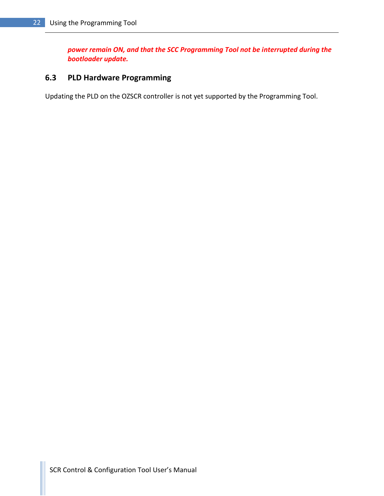*power remain ON, and that the SCC Programming Tool not be interrupted during the bootloader update.*

#### <span id="page-23-0"></span>**6.3 PLD Hardware Programming**

Updating the PLD on the OZSCR controller is not yet supported by the Programming Tool.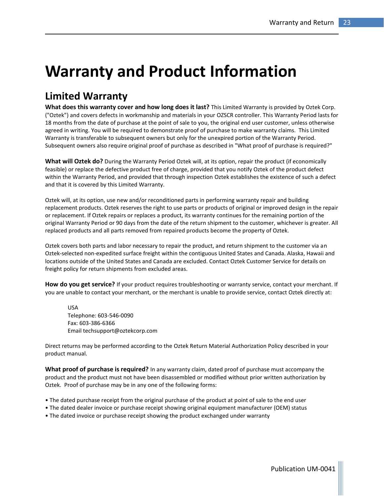# <span id="page-24-0"></span>**Warranty and Product Information**

# **Limited Warranty**

**What does this warranty cover and how long does it last?** This Limited Warranty is provided by Oztek Corp. ("Oztek") and covers defects in workmanship and materials in your OZSCR controller. This Warranty Period lasts for 18 months from the date of purchase at the point of sale to you, the original end user customer, unless otherwise agreed in writing. You will be required to demonstrate proof of purchase to make warranty claims. This Limited Warranty is transferable to subsequent owners but only for the unexpired portion of the Warranty Period. Subsequent owners also require original proof of purchase as described in "What proof of purchase is required?"

**What will Oztek do?** During the Warranty Period Oztek will, at its option, repair the product (if economically feasible) or replace the defective product free of charge, provided that you notify Oztek of the product defect within the Warranty Period, and provided that through inspection Oztek establishes the existence of such a defect and that it is covered by this Limited Warranty.

Oztek will, at its option, use new and/or reconditioned parts in performing warranty repair and building replacement products. Oztek reserves the right to use parts or products of original or improved design in the repair or replacement. If Oztek repairs or replaces a product, its warranty continues for the remaining portion of the original Warranty Period or 90 days from the date of the return shipment to the customer, whichever is greater. All replaced products and all parts removed from repaired products become the property of Oztek.

Oztek covers both parts and labor necessary to repair the product, and return shipment to the customer via an Oztek-selected non-expedited surface freight within the contiguous United States and Canada. Alaska, Hawaii and locations outside of the United States and Canada are excluded. Contact Oztek Customer Service for details on freight policy for return shipments from excluded areas.

**How do you get service?** If your product requires troubleshooting or warranty service, contact your merchant. If you are unable to contact your merchant, or the merchant is unable to provide service, contact Oztek directly at:

USA Telephone: 603-546-0090 Fax: 603-386-6366 Email techsupport@oztekcorp.com

Direct returns may be performed according to the Oztek Return Material Authorization Policy described in your product manual.

**What proof of purchase is required?** In any warranty claim, dated proof of purchase must accompany the product and the product must not have been disassembled or modified without prior written authorization by Oztek. Proof of purchase may be in any one of the following forms:

- The dated purchase receipt from the original purchase of the product at point of sale to the end user
- The dated dealer invoice or purchase receipt showing original equipment manufacturer (OEM) status
- The dated invoice or purchase receipt showing the product exchanged under warranty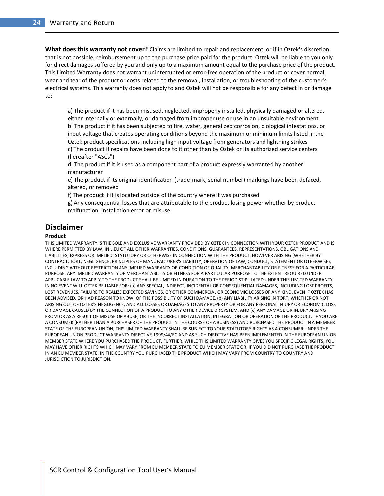**What does this warranty not cover?** Claims are limited to repair and replacement, or if in Oztek's discretion that is not possible, reimbursement up to the purchase price paid for the product. Oztek will be liable to you only for direct damages suffered by you and only up to a maximum amount equal to the purchase price of the product. This Limited Warranty does not warrant uninterrupted or error-free operation of the product or cover normal wear and tear of the product or costs related to the removal, installation, or troubleshooting of the customer's electrical systems. This warranty does not apply to and Oztek will not be responsible for any defect in or damage to:

a) The product if it has been misused, neglected, improperly installed, physically damaged or altered, either internally or externally, or damaged from improper use or use in an unsuitable environment b) The product if it has been subjected to fire, water, generalized corrosion, biological infestations, or input voltage that creates operating conditions beyond the maximum or minimum limits listed in the Oztek product specifications including high input voltage from generators and lightning strikes c) The product if repairs have been done to it other than by Oztek or its authorized service centers (hereafter "ASCs")

d) The product if it is used as a component part of a product expressly warranted by another manufacturer

e) The product if its original identification (trade-mark, serial number) markings have been defaced, altered, or removed

f) The product if it is located outside of the country where it was purchased

g) Any consequential losses that are attributable to the product losing power whether by product malfunction, installation error or misuse.

#### **Disclaimer**

#### **Product**

THIS LIMITED WARRANTY IS THE SOLE AND EXCLUSIVE WARRANTY PROVIDED BY OZTEK IN CONNECTION WITH YOUR OZTEK PRODUCT AND IS, WHERE PERMITTED BY LAW, IN LIEU OF ALL OTHER WARRANTIES, CONDITIONS, GUARANTEES, REPRESENTATIONS, OBLIGATIONS AND LIABILITIES, EXPRESS OR IMPLIED, STATUTORY OR OTHERWISE IN CONNECTION WITH THE PRODUCT, HOWEVER ARISING (WHETHER BY CONTRACT, TORT, NEGLIGENCE, PRINCIPLES OF MANUFACTURER'S LIABILITY, OPERATION OF LAW, CONDUCT, STATEMENT OR OTHERWISE), INCLUDING WITHOUT RESTRICTION ANY IMPLIED WARRANTY OR CONDITION OF QUALITY, MERCHANTABILITY OR FITNESS FOR A PARTICULAR PURPOSE. ANY IMPLIED WARRANTY OF MERCHANTABILITY OR FITNESS FOR A PARTICULAR PURPOSE TO THE EXTENT REQUIRED UNDER APPLICABLE LAW TO APPLY TO THE PRODUCT SHALL BE LIMITED IN DURATION TO THE PERIOD STIPULATED UNDER THIS LIMITED WARRANTY. IN NO EVENT WILL OZTEK BE LIABLE FOR: (a) ANY SPECIAL, INDIRECT, INCIDENTAL OR CONSEQUENTIAL DAMAGES, INCLUDING LOST PROFITS, LOST REVENUES, FAILURE TO REALIZE EXPECTED SAVINGS, OR OTHER COMMERCIAL OR ECONOMIC LOSSES OF ANY KIND, EVEN IF OZTEK HAS BEEN ADVISED, OR HAD REASON TO KNOW, OF THE POSSIBILITY OF SUCH DAMAGE, (b) ANY LIABILITY ARISING IN TORT, WHETHER OR NOT ARISING OUT OF OZTEK'S NEGLIGENCE, AND ALL LOSSES OR DAMAGES TO ANY PROPERTY OR FOR ANY PERSONAL INJURY OR ECONOMIC LOSS OR DAMAGE CAUSED BY THE CONNECTION OF A PRODUCT TO ANY OTHER DEVICE OR SYSTEM, AND (c) ANY DAMAGE OR INJURY ARISING FROM OR AS A RESULT OF MISUSE OR ABUSE, OR THE INCORRECT INSTALLATION, INTEGRATION OR OPERATION OF THE PRODUCT. IF YOU ARE A CONSUMER (RATHER THAN A PURCHASER OF THE PRODUCT IN THE COURSE OF A BUSINESS) AND PURCHASED THE PRODUCT IN A MEMBER STATE OF THE EUROPEAN UNION, THIS LIMITED WARRANTY SHALL BE SUBJECT TO YOUR STATUTORY RIGHTS AS A CONSUMER UNDER THE EUROPEAN UNION PRODUCT WARRANTY DIRECTIVE 1999/44/EC AND AS SUCH DIRECTIVE HAS BEEN IMPLEMENTED IN THE EUROPEAN UNION MEMBER STATE WHERE YOU PURCHASED THE PRODUCT. FURTHER, WHILE THIS LIMITED WARRANTY GIVES YOU SPECIFIC LEGAL RIGHTS, YOU MAY HAVE OTHER RIGHTS WHICH MAY VARY FROM EU MEMBER STATE TO EU MEMBER STATE OR, IF YOU DID NOT PURCHASE THE PRODUCT IN AN EU MEMBER STATE, IN THE COUNTRY YOU PURCHASED THE PRODUCT WHICH MAY VARY FROM COUNTRY TO COUNTRY AND JURISDICTION TO JURISDICTION.